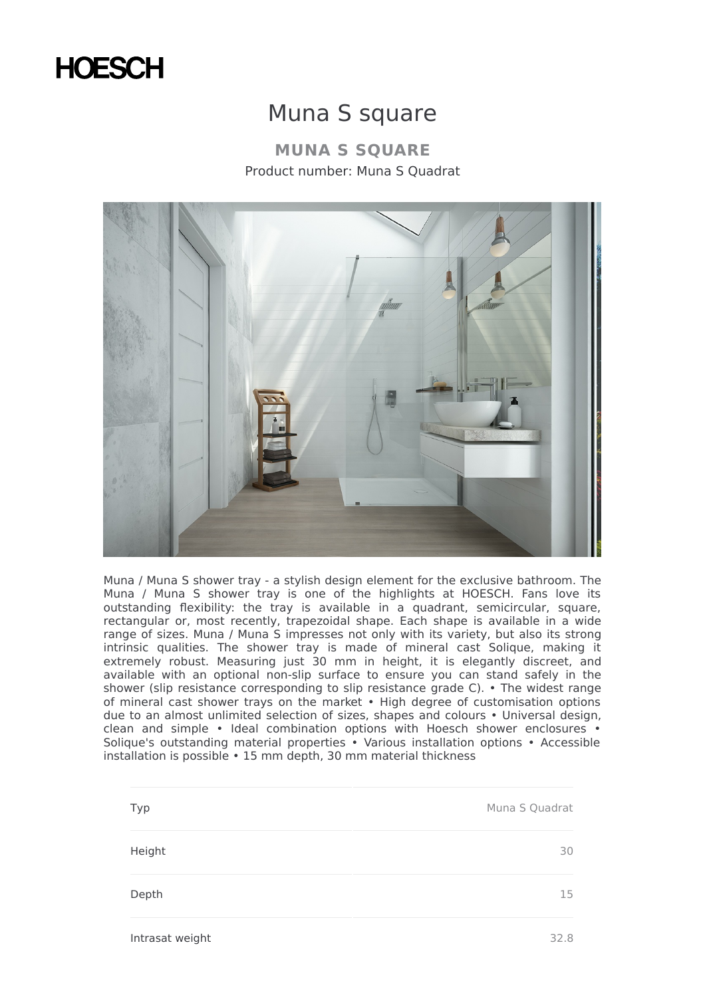

## Muna S square

**MUNA S SQUARE** Product number: Muna S Quadrat



Muna / Muna S shower tray - a stylish design element for the exclusive bathroom. The Muna / Muna S shower tray is one of the highlights at HOESCH. Fans love its outstanding flexibility: the tray is available in a quadrant, semicircular, square, rectangular or, most recently, trapezoidal shape. Each shape is available in a wide range of sizes. Muna / Muna S impresses not only with its variety, but also its strong intrinsic qualities. The shower tray is made of mineral cast Solique, making it extremely robust. Measuring just 30 mm in height, it is elegantly discreet, and available with an optional non-slip surface to ensure you can stand safely in the shower (slip resistance corresponding to slip resistance grade C). • The widest range of mineral cast shower trays on the market • High degree of customisation options due to an almost unlimited selection of sizes, shapes and colours • Universal design, clean and simple • Ideal combination options with Hoesch shower enclosures • Solique's outstanding material properties • Various installation options • Accessible installation is possible • 15 mm depth, 30 mm material thickness

| Typ    | Muna S Quadrat |
|--------|----------------|
| Height | 30             |
| Depth  | 15             |
|        |                |

Intrasat weight 32.8